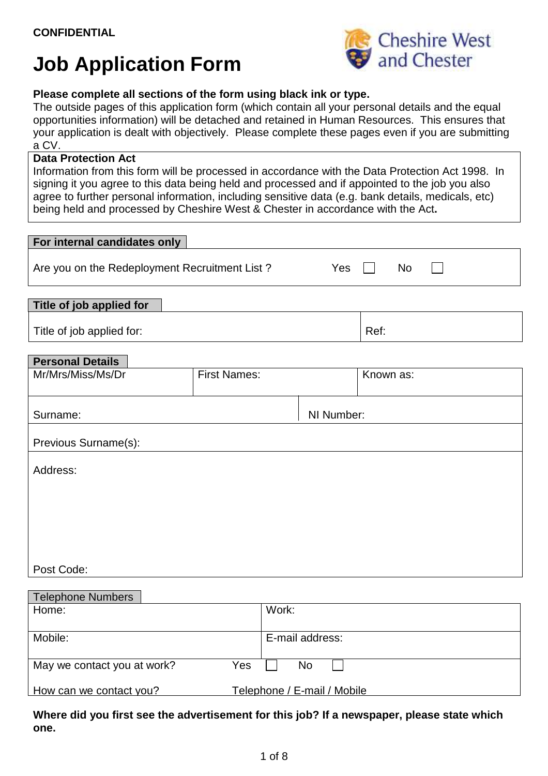# **Job Application Form**



## **Please complete all sections of the form using black ink or type.**

The outside pages of this application form (which contain all your personal details and the equal opportunities information) will be detached and retained in Human Resources. This ensures that your application is dealt with objectively. Please complete these pages even if you are submitting a CV.

#### **Data Protection Act**

Information from this form will be processed in accordance with the Data Protection Act 1998. In signing it you agree to this data being held and processed and if appointed to the job you also agree to further personal information, including sensitive data (e.g. bank details, medicals, etc) being held and processed by Cheshire West & Chester in accordance with the Act**.**

| For internal candidates only                               |                     |            |           |  |
|------------------------------------------------------------|---------------------|------------|-----------|--|
| Are you on the Redeployment Recruitment List?<br>Yes<br>No |                     |            |           |  |
| Title of job applied for                                   |                     |            |           |  |
| Title of job applied for:                                  |                     |            | Ref:      |  |
| <b>Personal Details</b>                                    |                     |            |           |  |
| Mr/Mrs/Miss/Ms/Dr                                          | <b>First Names:</b> |            | Known as: |  |
| Surname:                                                   |                     | NI Number: |           |  |
| Previous Surname(s):                                       |                     |            |           |  |
| Address:                                                   |                     |            |           |  |
|                                                            |                     |            |           |  |
|                                                            |                     |            |           |  |
|                                                            |                     |            |           |  |
| Post Code:                                                 |                     |            |           |  |
| Talanhana Numberg                                          |                     |            |           |  |

| <b>TEIGDITURE INTITIDETS</b>       |                             |  |  |
|------------------------------------|-----------------------------|--|--|
| Home:                              | Work:                       |  |  |
|                                    |                             |  |  |
|                                    |                             |  |  |
| Mobile:                            | E-mail address:             |  |  |
|                                    |                             |  |  |
| May we contact you at work?<br>Yes | No.                         |  |  |
|                                    |                             |  |  |
| How can we contact you?            | Telephone / E-mail / Mobile |  |  |
|                                    |                             |  |  |

**Where did you first see the advertisement for this job? If a newspaper, please state which one.**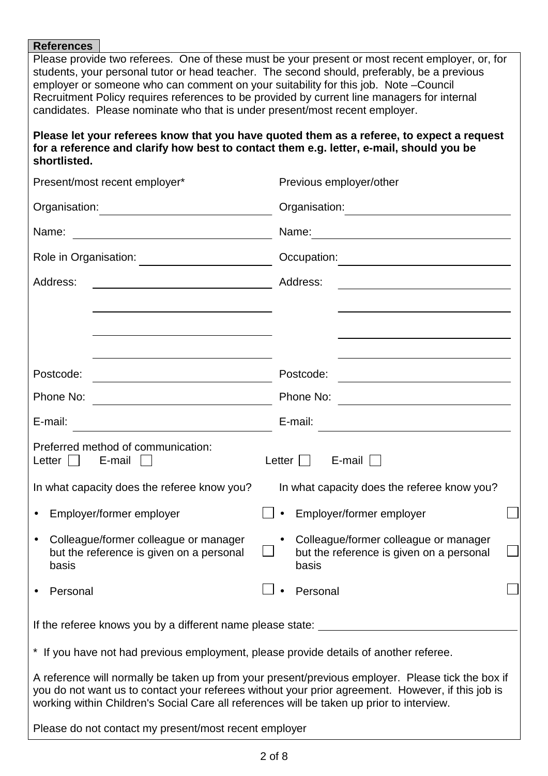#### **References**

Please provide two referees. One of these must be your present or most recent employer, or, for students, your personal tutor or head teacher. The second should, preferably, be a previous employer or someone who can comment on your suitability for this job. Note –Council Recruitment Policy requires references to be provided by current line managers for internal candidates. Please nominate who that is under present/most recent employer.

#### **Please let your referees know that you have quoted them as a referee, to expect a request for a reference and clarify how best to contact them e.g. letter, e-mail, should you be shortlisted.**

| Present/most recent employer*                                                                                                                                                                                                                                                                       | Previous employer/other                                                                                 |  |  |
|-----------------------------------------------------------------------------------------------------------------------------------------------------------------------------------------------------------------------------------------------------------------------------------------------------|---------------------------------------------------------------------------------------------------------|--|--|
| Organisation: <u>_____________________________</u><br>Organisation:                                                                                                                                                                                                                                 |                                                                                                         |  |  |
| Name:                                                                                                                                                                                                                                                                                               | Name:<br><u> 1980 - Andrea Amerikaanse konstantinoplering († 1901)</u>                                  |  |  |
| Role in Organisation:<br><u> 1989 - Johann Barnett, fransk politiker (</u>                                                                                                                                                                                                                          | Occupation:                                                                                             |  |  |
| Address:                                                                                                                                                                                                                                                                                            | Address:                                                                                                |  |  |
|                                                                                                                                                                                                                                                                                                     |                                                                                                         |  |  |
|                                                                                                                                                                                                                                                                                                     |                                                                                                         |  |  |
| Postcode:                                                                                                                                                                                                                                                                                           | Postcode:                                                                                               |  |  |
| Phone No:                                                                                                                                                                                                                                                                                           | Phone No:                                                                                               |  |  |
|                                                                                                                                                                                                                                                                                                     |                                                                                                         |  |  |
| E-mail:                                                                                                                                                                                                                                                                                             | E-mail:<br><u> 1989 - Johann Barbara, martxa alemaniar arg</u>                                          |  |  |
| Preferred method of communication:<br>Letter $\vert \ \vert$<br>E-mail                                                                                                                                                                                                                              | Letter $\Box$<br>E-mail                                                                                 |  |  |
| In what capacity does the referee know you?                                                                                                                                                                                                                                                         | In what capacity does the referee know you?                                                             |  |  |
| Employer/former employer                                                                                                                                                                                                                                                                            | Employer/former employer                                                                                |  |  |
| Colleague/former colleague or manager<br>$\bullet$<br>but the reference is given on a personal<br>basis                                                                                                                                                                                             | Colleague/former colleague or manager<br>$\bullet$<br>but the reference is given on a personal<br>basis |  |  |
| Personal                                                                                                                                                                                                                                                                                            | ┌─┐<br>Personal                                                                                         |  |  |
| If the referee knows you by a different name please state:                                                                                                                                                                                                                                          |                                                                                                         |  |  |
| * If you have not had previous employment, please provide details of another referee.                                                                                                                                                                                                               |                                                                                                         |  |  |
| A reference will normally be taken up from your present/previous employer. Please tick the box if<br>you do not want us to contact your referees without your prior agreement. However, if this job is<br>working within Children's Social Care all references will be taken up prior to interview. |                                                                                                         |  |  |

Please do not contact my present/most recent employer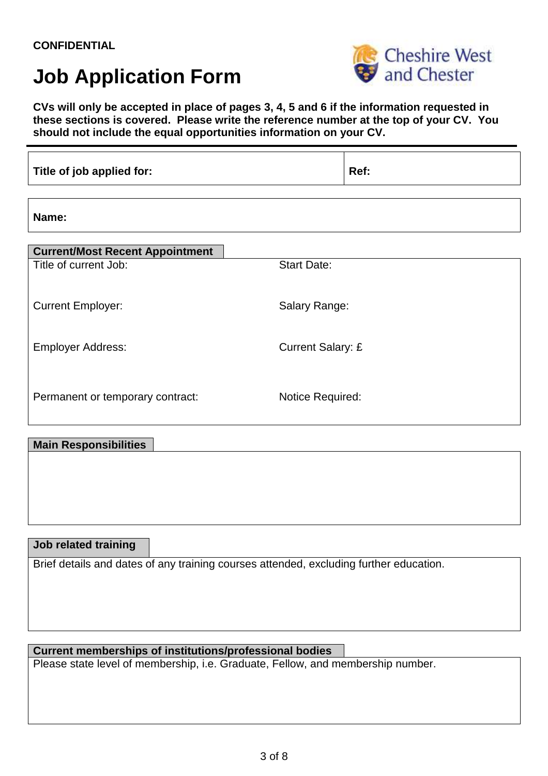## **CONFIDENTIAL**

## **Job Application Form**



**CVs will only be accepted in place of pages 3, 4, 5 and 6 if the information requested in these sections is covered. Please write the reference number at the top of your CV. You should not include the equal opportunities information on your CV.** 

| Title of job applied for:              |                          | Ref: |
|----------------------------------------|--------------------------|------|
| Name:                                  |                          |      |
| <b>Current/Most Recent Appointment</b> |                          |      |
| Title of current Job:                  | <b>Start Date:</b>       |      |
| <b>Current Employer:</b>               | Salary Range:            |      |
| <b>Employer Address:</b>               | <b>Current Salary: £</b> |      |
| Permanent or temporary contract:       | Notice Required:         |      |

#### **Main Responsibilities**

#### **Job related training**

Brief details and dates of any training courses attended, excluding further education.

### **Current memberships of institutions/professional bodies**

Please state level of membership, i.e. Graduate, Fellow, and membership number.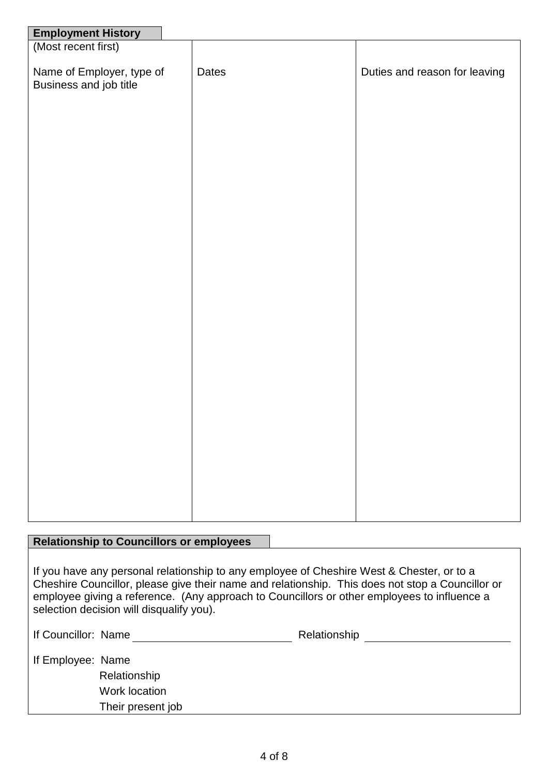| <b>Employment History</b><br>(Most recent first)    |       |                               |
|-----------------------------------------------------|-------|-------------------------------|
|                                                     |       |                               |
| Name of Employer, type of<br>Business and job title | Dates | Duties and reason for leaving |
|                                                     |       |                               |
|                                                     |       |                               |
|                                                     |       |                               |
|                                                     |       |                               |

### **Relationship to Councillors or employees**

If you have any personal relationship to any employee of Cheshire West & Chester, or to a Cheshire Councillor, please give their name and relationship. This does not stop a Councillor or employee giving a reference. (Any approach to Councillors or other employees to influence a selection decision will disqualify you).

| If Councillor: Name |                   | Relationship |
|---------------------|-------------------|--------------|
| If Employee: Name   |                   |              |
|                     | Relationship      |              |
|                     | Work location     |              |
|                     | Their present job |              |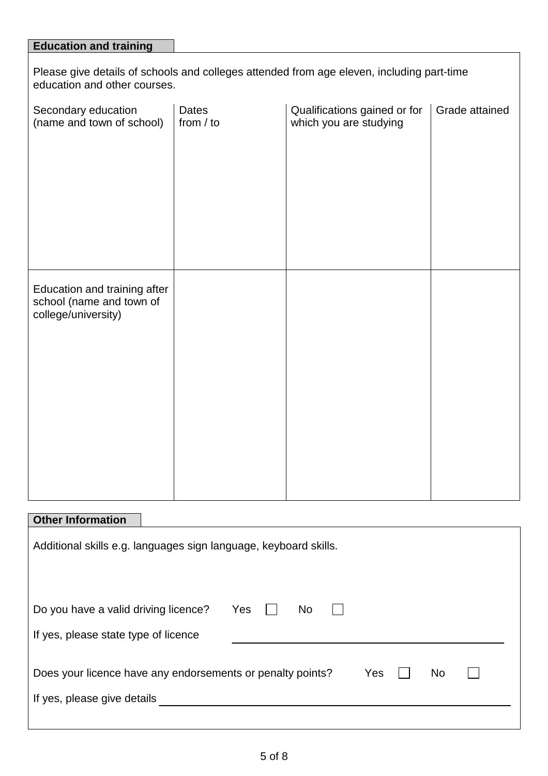| <b>Education and training</b>                                                                                             |                             |                                                        |                |  |  |
|---------------------------------------------------------------------------------------------------------------------------|-----------------------------|--------------------------------------------------------|----------------|--|--|
| Please give details of schools and colleges attended from age eleven, including part-time<br>education and other courses. |                             |                                                        |                |  |  |
| Secondary education<br>(name and town of school)                                                                          | <b>Dates</b><br>from $/$ to | Qualifications gained or for<br>which you are studying | Grade attained |  |  |
|                                                                                                                           |                             |                                                        |                |  |  |
| Education and training after<br>school (name and town of<br>college/university)                                           |                             |                                                        |                |  |  |
|                                                                                                                           |                             |                                                        |                |  |  |

## **Other Information**

| Additional skills e.g. languages sign language, keyboard skills.                                       |  |  |  |  |
|--------------------------------------------------------------------------------------------------------|--|--|--|--|
| Yes<br>Do you have a valid driving licence?<br>No.<br>If yes, please state type of licence             |  |  |  |  |
| Does your licence have any endorsements or penalty points?<br>Yes<br>No<br>If yes, please give details |  |  |  |  |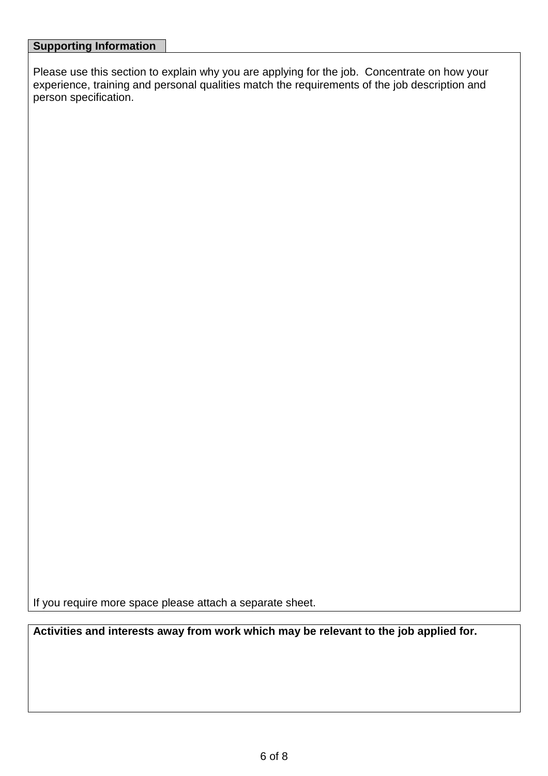Please use this section to explain why you are applying for the job. Concentrate on how your experience, training and personal qualities match the requirements of the job description and person specification.

If you require more space please attach a separate sheet.

**Activities and interests away from work which may be relevant to the job applied for.**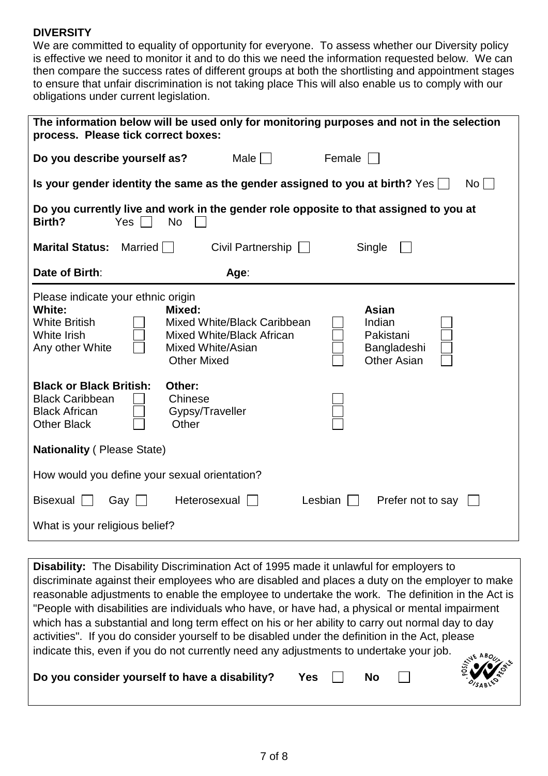## **DIVERSITY**

We are committed to equality of opportunity for everyone. To assess whether our Diversity policy is effective we need to monitor it and to do this we need the information requested below. We can then compare the success rates of different groups at both the shortlisting and appointment stages to ensure that unfair discrimination is not taking place This will also enable us to comply with our obligations under current legislation.

| The information below will be used only for monitoring purposes and not in the selection<br>process. Please tick correct boxes: |                                                                                                                                                                                           |  |  |  |  |
|---------------------------------------------------------------------------------------------------------------------------------|-------------------------------------------------------------------------------------------------------------------------------------------------------------------------------------------|--|--|--|--|
|                                                                                                                                 | Male    <br>Female<br>Do you describe yourself as?                                                                                                                                        |  |  |  |  |
|                                                                                                                                 | Is your gender identity the same as the gender assigned to you at birth? Yes $\Box$<br>No l                                                                                               |  |  |  |  |
| Birth?                                                                                                                          | Do you currently live and work in the gender role opposite to that assigned to you at<br><b>Yes</b><br><b>No</b>                                                                          |  |  |  |  |
| <b>Marital Status:</b>                                                                                                          | Married<br>Civil Partnership<br>Single<br>$\perp$                                                                                                                                         |  |  |  |  |
| Date of Birth:                                                                                                                  | Age:                                                                                                                                                                                      |  |  |  |  |
| Please indicate your ethnic origin<br><b>White:</b><br><b>White British</b><br>White Irish<br>Any other White                   | Mixed:<br><b>Asian</b><br>Mixed White/Black Caribbean<br>Indian<br>Mixed White/Black African<br>Pakistani<br>Mixed White/Asian<br>Bangladeshi<br><b>Other Asian</b><br><b>Other Mixed</b> |  |  |  |  |
| <b>Black or Black British:</b><br><b>Black Caribbean</b><br><b>Black African</b><br><b>Other Black</b>                          | Other:<br>Chinese<br>Gypsy/Traveller<br>Other                                                                                                                                             |  |  |  |  |
| <b>Nationality (Please State)</b>                                                                                               |                                                                                                                                                                                           |  |  |  |  |
|                                                                                                                                 | How would you define your sexual orientation?                                                                                                                                             |  |  |  |  |
| <b>Bisexual</b><br>Gay                                                                                                          | Heterosexual<br>Lesbian<br>Prefer not to say<br>$\mathbf{1}$                                                                                                                              |  |  |  |  |
| What is your religious belief?                                                                                                  |                                                                                                                                                                                           |  |  |  |  |

**Disability:** The Disability Discrimination Act of 1995 made it unlawful for employers to discriminate against their employees who are disabled and places a duty on the employer to make reasonable adjustments to enable the employee to undertake the work. The definition in the Act is "People with disabilities are individuals who have, or have had, a physical or mental impairment which has a substantial and long term effect on his or her ability to carry out normal day to day activities". If you do consider yourself to be disabled under the definition in the Act, please indicate this, even if you do not currently need any adjustments to undertake your job. Do you consider yourself to have a disability? Yes  $\Box$  No